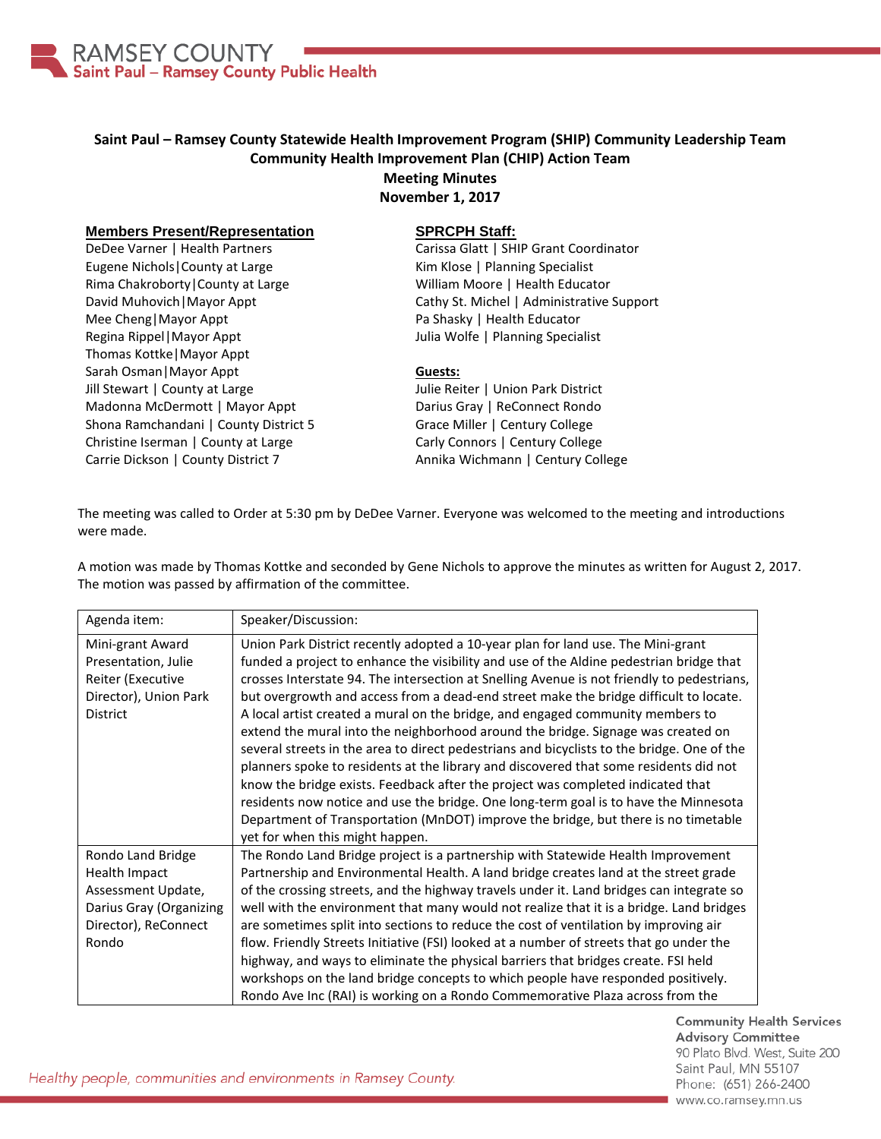

# **Saint Paul – Ramsey County Statewide Health Improvement Program (SHIP) Community Leadership Team Community Health Improvement Plan (CHIP) Action Team Meeting Minutes**

**November 1, 2017**

### **Members Present/Representation**

DeDee Varner | Health Partners Eugene Nichols|County at Large Rima Chakroborty|County at Large David Muhovich|Mayor Appt Mee Cheng|Mayor Appt Regina Rippel|Mayor Appt Thomas Kottke|Mayor Appt Sarah Osman|Mayor Appt Jill Stewart | County at Large Madonna McDermott | Mayor Appt Shona Ramchandani | County District 5 Christine Iserman | County at Large Carrie Dickson | County District 7

### **SPRCPH Staff:**

Carissa Glatt | SHIP Grant Coordinator Kim Klose | Planning Specialist William Moore | Health Educator Cathy St. Michel | Administrative Support Pa Shasky | Health Educator Julia Wolfe | Planning Specialist

#### **Guests:**

Julie Reiter | Union Park District Darius Gray | ReConnect Rondo Grace Miller | Century College Carly Connors | Century College Annika Wichmann | Century College

The meeting was called to Order at 5:30 pm by DeDee Varner. Everyone was welcomed to the meeting and introductions were made.

A motion was made by Thomas Kottke and seconded by Gene Nichols to approve the minutes as written for August 2, 2017. The motion was passed by affirmation of the committee.

| Agenda item:                                                                                                         | Speaker/Discussion:                                                                                                                                                                                                                                                                                                                                                                                                                                                                                                                                                                                                                                                                                                                                                                                                                                                                                                                                                                                                                 |
|----------------------------------------------------------------------------------------------------------------------|-------------------------------------------------------------------------------------------------------------------------------------------------------------------------------------------------------------------------------------------------------------------------------------------------------------------------------------------------------------------------------------------------------------------------------------------------------------------------------------------------------------------------------------------------------------------------------------------------------------------------------------------------------------------------------------------------------------------------------------------------------------------------------------------------------------------------------------------------------------------------------------------------------------------------------------------------------------------------------------------------------------------------------------|
| Mini-grant Award<br>Presentation, Julie<br>Reiter (Executive<br>Director), Union Park<br><b>District</b>             | Union Park District recently adopted a 10-year plan for land use. The Mini-grant<br>funded a project to enhance the visibility and use of the Aldine pedestrian bridge that<br>crosses Interstate 94. The intersection at Snelling Avenue is not friendly to pedestrians,<br>but overgrowth and access from a dead-end street make the bridge difficult to locate.<br>A local artist created a mural on the bridge, and engaged community members to<br>extend the mural into the neighborhood around the bridge. Signage was created on<br>several streets in the area to direct pedestrians and bicyclists to the bridge. One of the<br>planners spoke to residents at the library and discovered that some residents did not<br>know the bridge exists. Feedback after the project was completed indicated that<br>residents now notice and use the bridge. One long-term goal is to have the Minnesota<br>Department of Transportation (MnDOT) improve the bridge, but there is no timetable<br>yet for when this might happen. |
| Rondo Land Bridge<br>Health Impact<br>Assessment Update,<br>Darius Gray (Organizing<br>Director), ReConnect<br>Rondo | The Rondo Land Bridge project is a partnership with Statewide Health Improvement<br>Partnership and Environmental Health. A land bridge creates land at the street grade<br>of the crossing streets, and the highway travels under it. Land bridges can integrate so<br>well with the environment that many would not realize that it is a bridge. Land bridges<br>are sometimes split into sections to reduce the cost of ventilation by improving air<br>flow. Friendly Streets Initiative (FSI) looked at a number of streets that go under the<br>highway, and ways to eliminate the physical barriers that bridges create. FSI held<br>workshops on the land bridge concepts to which people have responded positively.<br>Rondo Ave Inc (RAI) is working on a Rondo Commemorative Plaza across from the                                                                                                                                                                                                                       |

**Community Health Services Advisory Committee** 90 Plato Blvd. West, Suite 200 Saint Paul, MN 55107 Phone: (651) 266-2400 www.co.ramsey.mn.us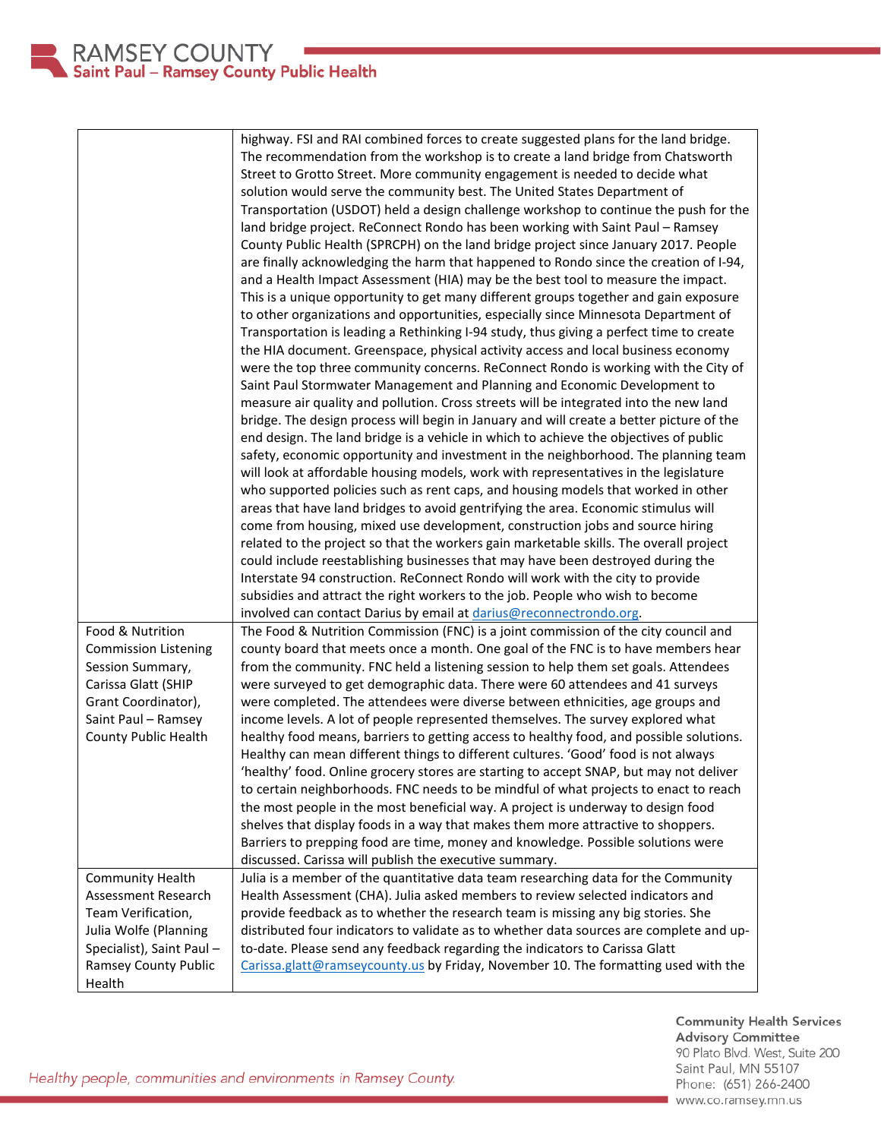|                             | highway. FSI and RAI combined forces to create suggested plans for the land bridge.      |
|-----------------------------|------------------------------------------------------------------------------------------|
|                             | The recommendation from the workshop is to create a land bridge from Chatsworth          |
|                             | Street to Grotto Street. More community engagement is needed to decide what              |
|                             | solution would serve the community best. The United States Department of                 |
|                             | Transportation (USDOT) held a design challenge workshop to continue the push for the     |
|                             | land bridge project. ReConnect Rondo has been working with Saint Paul - Ramsey           |
|                             | County Public Health (SPRCPH) on the land bridge project since January 2017. People      |
|                             | are finally acknowledging the harm that happened to Rondo since the creation of I-94,    |
|                             | and a Health Impact Assessment (HIA) may be the best tool to measure the impact.         |
|                             | This is a unique opportunity to get many different groups together and gain exposure     |
|                             | to other organizations and opportunities, especially since Minnesota Department of       |
|                             | Transportation is leading a Rethinking I-94 study, thus giving a perfect time to create  |
|                             | the HIA document. Greenspace, physical activity access and local business economy        |
|                             |                                                                                          |
|                             | were the top three community concerns. ReConnect Rondo is working with the City of       |
|                             | Saint Paul Stormwater Management and Planning and Economic Development to                |
|                             | measure air quality and pollution. Cross streets will be integrated into the new land    |
|                             | bridge. The design process will begin in January and will create a better picture of the |
|                             | end design. The land bridge is a vehicle in which to achieve the objectives of public    |
|                             | safety, economic opportunity and investment in the neighborhood. The planning team       |
|                             | will look at affordable housing models, work with representatives in the legislature     |
|                             | who supported policies such as rent caps, and housing models that worked in other        |
|                             | areas that have land bridges to avoid gentrifying the area. Economic stimulus will       |
|                             | come from housing, mixed use development, construction jobs and source hiring            |
|                             | related to the project so that the workers gain marketable skills. The overall project   |
|                             | could include reestablishing businesses that may have been destroyed during the          |
|                             | Interstate 94 construction. ReConnect Rondo will work with the city to provide           |
|                             | subsidies and attract the right workers to the job. People who wish to become            |
|                             | involved can contact Darius by email at <i>darius@reconnectrondo.org</i> .               |
| Food & Nutrition            | The Food & Nutrition Commission (FNC) is a joint commission of the city council and      |
| <b>Commission Listening</b> | county board that meets once a month. One goal of the FNC is to have members hear        |
| Session Summary,            | from the community. FNC held a listening session to help them set goals. Attendees       |
| Carissa Glatt (SHIP         | were surveyed to get demographic data. There were 60 attendees and 41 surveys            |
| Grant Coordinator),         | were completed. The attendees were diverse between ethnicities, age groups and           |
| Saint Paul - Ramsey         | income levels. A lot of people represented themselves. The survey explored what          |
| <b>County Public Health</b> | healthy food means, barriers to getting access to healthy food, and possible solutions.  |
|                             | Healthy can mean different things to different cultures. 'Good' food is not always       |
|                             | 'healthy' food. Online grocery stores are starting to accept SNAP, but may not deliver   |
|                             | to certain neighborhoods. FNC needs to be mindful of what projects to enact to reach     |
|                             | the most people in the most beneficial way. A project is underway to design food         |
|                             | shelves that display foods in a way that makes them more attractive to shoppers.         |
|                             | Barriers to prepping food are time, money and knowledge. Possible solutions were         |
|                             | discussed. Carissa will publish the executive summary.                                   |
| <b>Community Health</b>     | Julia is a member of the quantitative data team researching data for the Community       |
| Assessment Research         | Health Assessment (CHA). Julia asked members to review selected indicators and           |
| Team Verification,          | provide feedback as to whether the research team is missing any big stories. She         |
| Julia Wolfe (Planning       | distributed four indicators to validate as to whether data sources are complete and up-  |
| Specialist), Saint Paul -   | to-date. Please send any feedback regarding the indicators to Carissa Glatt              |
| Ramsey County Public        | Carissa.glatt@ramseycounty.us by Friday, November 10. The formatting used with the       |
| Health                      |                                                                                          |

Community Health Services<br>Advisory Committee 90 Plato Blvd. West, Suite 200 Saint Paul, MN 55107 Phone: (651) 266-2400 www.co.ramsey.mn.us

Healthy people, communities and environments in Ramsey County.